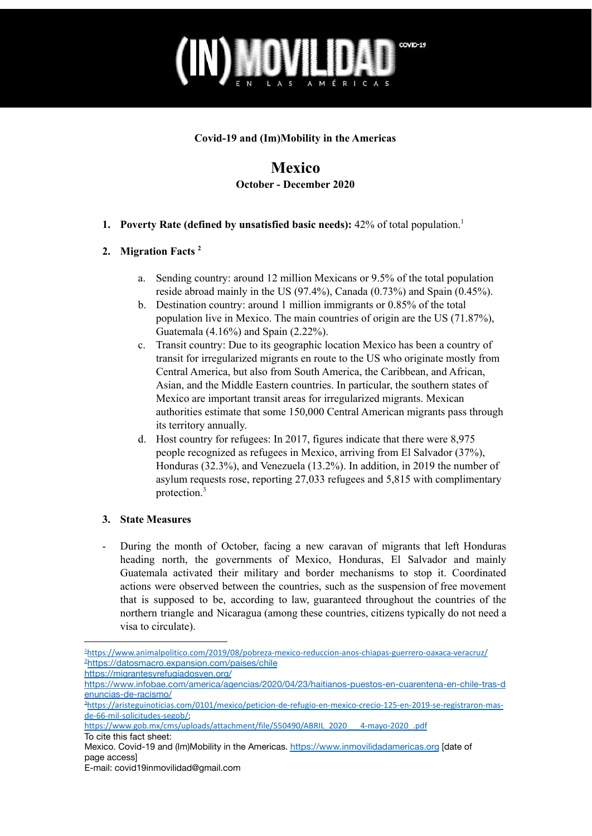

#### **Covid-19 and (Im)Mobility in the Americas**

### **Mexico October - December 2020**

**1. Poverty Rate (defined by unsatisfied basic needs):** 42% of total population. 1

#### **2. Migration Facts 2**

- a. Sending country: around 12 million Mexicans or 9.5% of the total population reside abroad mainly in the US (97.4%), Canada (0.73%) and Spain (0.45%).
- b. Destination country: around 1 million immigrants or 0.85% of the total population live in Mexico. The main countries of origin are the US (71.87%), Guatemala (4.16%) and Spain (2.22%).
- c. Transit country: Due to its geographic location Mexico has been a country of transit for irregularized migrants en route to the US who originate mostly from Central America, but also from South America, the Caribbean, and African, Asian, and the Middle Eastern countries. In particular, the southern states of Mexico are important transit areas for irregularized migrants. Mexican authorities estimate that some 150,000 Central American migrants pass through its territory annually.
- d. Host country for refugees: In 2017, figures indicate that there were 8,975 people recognized as refugees in Mexico, arriving from El Salvador (37%), Honduras (32.3%), and Venezuela (13.2%). In addition, in 2019 the number of asylum requests rose, reporting 27,033 refugees and 5,815 with complimentary protection. 3

#### **3. State Measures**

- During the month of October, facing a new caravan of migrants that left Honduras heading north, the governments of Mexico, Honduras, El Salvador and mainly Guatemala activated their military and border mechanisms to stop it. Coordinated actions were observed between the countries, such as the suspension of free movement that is supposed to be, according to law, guaranteed throughout the countries of the northern triangle and Nicaragua (among these countries, citizens typically do not need a visa to circulate).

<sup>2</sup><https://datosmacro.expansion.com/paises/chile> <sup>1</sup><https://www.animalpolitico.com/2019/08/pobreza-mexico-reduccion-anos-chiapas-guerrero-oaxaca-veracruz/>

<https://migrantesyrefugiadosven.org/>

[https://www.infobae.com/america/agencias/2020/04/23/haitianos-puestos-en-cuarentena-en-chile-tras-d](https://www.infobae.com/america/agencias/2020/04/23/haitianos-puestos-en-cuarentena-en-chile-tras-denuncias-de-racismo/) [enuncias-de-racismo/](https://www.infobae.com/america/agencias/2020/04/23/haitianos-puestos-en-cuarentena-en-chile-tras-denuncias-de-racismo/)

<sup>3</sup>[https://aristeguinoticias.com/0101/mexico/peticion-de-refugio-en-mexico-crecio-125-en-2019-se-registraron-mas](https://aristeguinoticias.com/0101/mexico/peticion-de-refugio-en-mexico-crecio-125-en-2019-se-registraron-mas-de-66-mil-solicitudes-segob/)[de-66-mil-solicitudes-segob/;](https://aristeguinoticias.com/0101/mexico/peticion-de-refugio-en-mexico-crecio-125-en-2019-se-registraron-mas-de-66-mil-solicitudes-segob/)

[https://www.gob.mx/cms/uploads/attachment/file/550490/ABRIL\\_2020\\_\\_\\_4-mayo-2020\\_.pdf](https://www.gob.mx/cms/uploads/attachment/file/550490/ABRIL_2020___4-mayo-2020_.pdf) To cite this fact sheet:

Mexico. Covid-19 and (Im)Mobility in the Americas. <https://www.inmovilidadamericas.org> [date of page access]

E-mail: covid19inmovilidad@gmail.com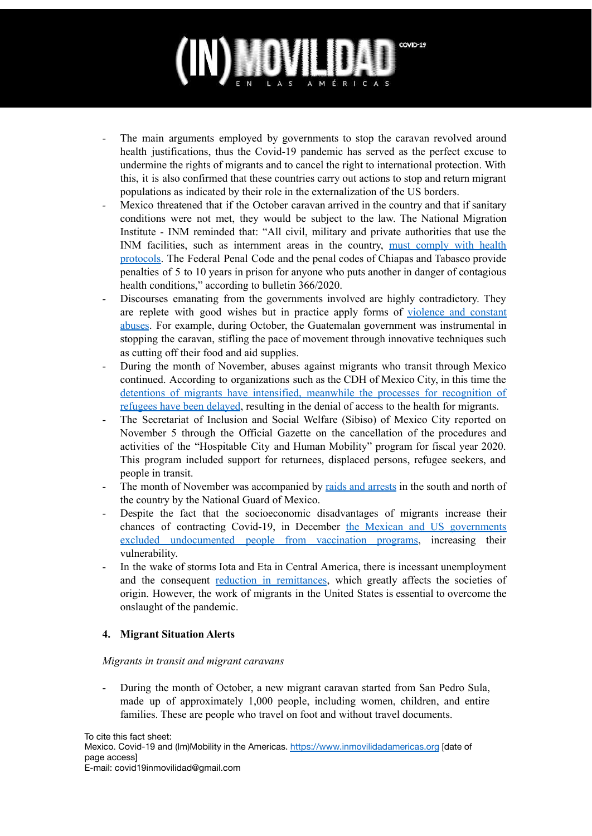## COVID-19 AMÉRICAS

- The main arguments employed by governments to stop the caravan revolved around health justifications, thus the Covid-19 pandemic has served as the perfect excuse to undermine the rights of migrants and to cancel the right to international protection. With this, it is also confirmed that these countries carry out actions to stop and return migrant populations as indicated by their role in the externalization of the US borders.
- *-* Mexico threatened that if the October caravan arrived in the country and that if sanitary conditions were not met, they would be subject to the law. The National Migration Institute - INM reminded that: "All civil, military and private authorities that use the INM facilities, such as internment areas in the country, must [comply](http://observatoriocolef.org/noticias/el-inm-amaga-con-carcel-si-caravana-migrante-ingresa-a-mexico-sin-medidas-sanitarias/) with health [protocols.](http://observatoriocolef.org/noticias/el-inm-amaga-con-carcel-si-caravana-migrante-ingresa-a-mexico-sin-medidas-sanitarias/) The Federal Penal Code and the penal codes of Chiapas and Tabasco provide penalties of 5 to 10 years in prison for anyone who puts another in danger of contagious health conditions," according to bulletin 366/2020.
- Discourses emanating from the governments involved are highly contradictory. They are replete with good wishes but in practice apply forms of [violence](http://observatoriocolef.org/noticias/cientos-de-personas-inician-nueva-caravana-migrante-desde-honduras-pese-a-pandemia-por-covid-19/) and constant [abuses](http://observatoriocolef.org/noticias/cientos-de-personas-inician-nueva-caravana-migrante-desde-honduras-pese-a-pandemia-por-covid-19/). For example, during October, the Guatemalan government was instrumental in stopping the caravan, stifling the pace of movement through innovative techniques such as cutting off their food and aid supplies.
- During the month of November, abuses against migrants who transit through Mexico continued. According to organizations such as the CDH of Mexico City, in this time the detentions of migrants have intensified, meanwhile the processes for [recognition](https://radiolaprimerisima.com/latinos/violacion-a-derechos-humanos-de-migrantes-aumentan-por-covid-19/) of [refugees](https://radiolaprimerisima.com/latinos/violacion-a-derechos-humanos-de-migrantes-aumentan-por-covid-19/) have been delayed, resulting in the denial of access to the health for migrants.
- The Secretariat of Inclusion and Social Welfare (Sibiso) of Mexico City reported on November 5 through the Official Gazette on the cancellation of the procedures and activities of the "Hospitable City and Human Mobility" program for fiscal year 2020. This program included support for returnees, displaced persons, refugee seekers, and people in transit.
- The month of November was accompanied by raids and [arrests](https://www.milenio.com/politica/covid-19-agudizo-crisis-sanitaria-migrantes-frontera-sur-onu) in the south and north of the country by the National Guard of Mexico.
- Despite the fact that the socioeconomic disadvantages of migrants increase their chances of contracting Covid-19, in December the Mexican and US [governments](https://www.milenio.com/opinion/varios-autores/sociedad-sustentable/migracion-y-vacuna-contra-el-covid-19) excluded [undocumented](https://www.milenio.com/opinion/varios-autores/sociedad-sustentable/migracion-y-vacuna-contra-el-covid-19) people from vaccination programs, increasing their vulnerability.
- In the wake of storms Iota and Eta in Central America, there is incessant unemployment and the consequent reduction in [remittances](https://www.infobae.com/america/agencias/2020/12/16/la-oim-dice-que-migrantes-seran-un-motor-de-recuperacion-tras-la-pandemia/), which greatly affects the societies of origin. However, the work of migrants in the United States is essential to overcome the onslaught of the pandemic.

#### **4. Migrant Situation Alerts**

#### *Migrants in transit and migrant caravans*

During the month of October, a new migrant caravan started from San Pedro Sula, made up of approximately 1,000 people, including women, children, and entire families. These are people who travel on foot and without travel documents.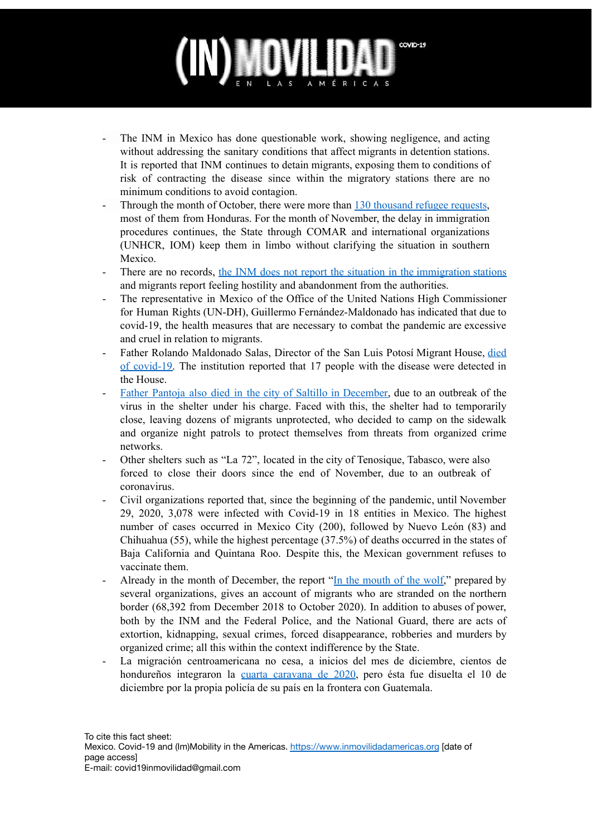## COVID-19 AMÉRICAS

- The INM in Mexico has done questionable work, showing negligence, and acting without addressing the sanitary conditions that affect migrants in detention stations. It is reported that INM continues to detain migrants, exposing them to conditions of risk of contracting the disease since within the migratory stations there are no minimum conditions to avoid contagion.
- Through the month of October, there were more than 130 [thousand](https://www.nvinoticias.com/nota/168293/retrasa-comar-citas-para-solicitantes-migrantes-piden-que-se-agilice-sus-documentos) refugee requests, most of them from Honduras. For the month of November, the delay in immigration procedures continues, the State through COMAR and international organizations (UNHCR, IOM) keep them in limbo without clarifying the situation in southern Mexico.
- There are no records, the INM does not report the situation in the [immigration](https://www.jornada.com.mx/ultimas/estados/2020/10/15/violan-en-instalaciones-del-inm-derecho-de-migrantes-a-la-salud-1947.html) stations and migrants report feeling hostility and abandonment from the authorities.
- The representative in Mexico of the Office of the United Nations High Commissioner for Human Rights (UN-DH), Guillermo Fernández-Maldonado has indicated that due to covid-19, the health measures that are necessary to combat the pandemic are excessive and cruel in relation to migrants.
- Father Rolando Maldonado Salas, Director of the San Luis Potosí Migrant House, died of covid-19. The institution reported that 17 people with the disease were detected in the House.
- Father Pantoja also died in the city of Saltillo in [December,](https://www.forbes.com.mx/noticias-cierre-refugios-coronavirus-migrantes-mexico/) due to an outbreak of the virus in the shelter under his charge. Faced with this, the shelter had to temporarily close, leaving dozens of migrants unprotected, who decided to camp on the sidewalk and organize night patrols to protect themselves from threats from organized crime networks.
- Other shelters such as "La 72", located in the city of Tenosique, Tabasco, were also forced to close their doors since the end of November, due to an outbreak of coronavirus.
- Civil organizations reported that, since the beginning of the pandemic, until November 29, 2020, 3,078 were infected with Covid-19 in 18 entities in Mexico. The highest number of cases occurred in Mexico City (200), followed by Nuevo León (83) and Chihuahua (55), while the highest percentage (37.5%) of deaths occurred in the states of Baja California and Quintana Roo. Despite this, the Mexican government refuses to vaccinate them.
- Already in the month of December, the report "In the [mouth](https://www.fundacionjusticia.org/wp-content/uploads/2020/12/Informe-FJ-Final-comprimido-2.pdf) of the wolf," prepared by several organizations, gives an account of migrants who are stranded on the northern border (68,392 from December 2018 to October 2020). In addition to abuses of power, both by the INM and the Federal Police, and the National Guard, there are acts of extortion, kidnapping, sexual crimes, forced disappearance, robberies and murders by organized crime; all this within the context indifference by the State.
- La migración centroamericana no cesa, a inicios del mes de diciembre, cientos de hondureños integraron la cuarta [caravana](https://www.prensalibre.com/guatemala/migrantes/caravana-de-migrantes-avanza-hacia-guatemala-y-autoridades-se-declaran-en-alerta/) de 2020, pero ésta fue disuelta el 10 de diciembre por la propia policía de su país en la frontera con Guatemala.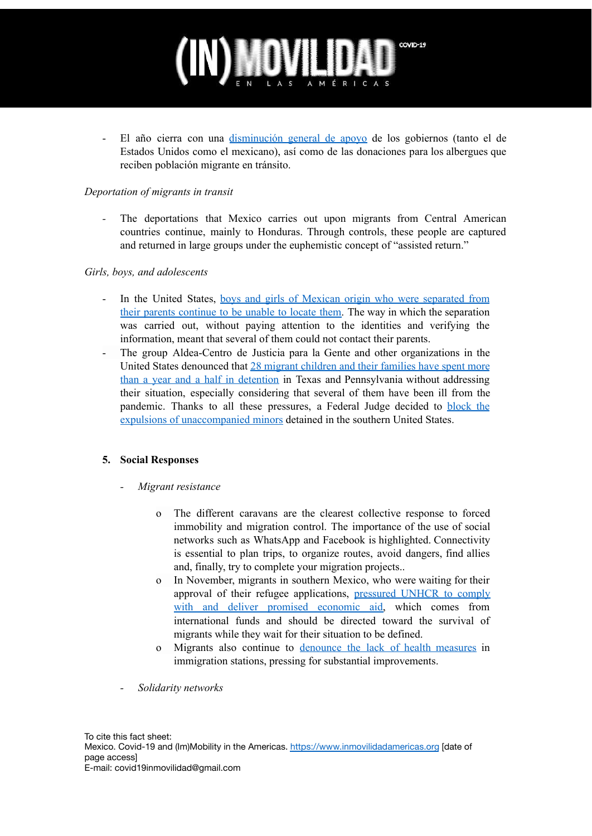# COVID-19

- El año cierra con una [disminución](https://www.infobae.com/america/agencias/2020/12/15/a-fondo-promesas-de-biden-podrian-estimular-migracion-en-pandemia-pero-frontera-no-esta-preparada/) general de apoyo de los gobiernos (tanto el de Estados Unidos como el mexicano), así como de las donaciones para los albergues que reciben población migrante en tránsito.

#### *Deportation of migrants in transit*

The deportations that Mexico carries out upon migrants from Central American countries continue, mainly to Honduras. Through controls, these people are captured and returned in large groups under the euphemistic concept of "assisted return."

#### *Girls, boys, and adolescents*

- In the United States, boys and girls of Mexican origin who were [separated](http://observatoriocolef.org/noticias/eu-no-puede-localizar-a-los-padres-de-ninos-migrantes-separados-en-la-frontera/) from their parents [continue](http://observatoriocolef.org/noticias/eu-no-puede-localizar-a-los-padres-de-ninos-migrantes-separados-en-la-frontera/) to be unable to locate them. The way in which the separation was carried out, without paying attention to the identities and verifying the information, meant that several of them could not contact their parents.
- The group Aldea-Centro de Justicia para la Gente and other organizations in the United States denounced that 28 migrant [children](https://www.elnuevodia.com/noticias/estados-unidos/notas/brote-de-covid-19-afecta-a-familias-migrantes-en-centro-de-detencion-en-arizona/) and their families have spent more than a year and a half in [detention](https://www.elnuevodia.com/noticias/estados-unidos/notas/brote-de-covid-19-afecta-a-familias-migrantes-en-centro-de-detencion-en-arizona/) in Texas and Pennsylvania without addressing their situation, especially considering that several of them have been ill from the pandemic. Thanks to all these pressures, a Federal Judge decided to [block](https://www.animalpolitico.com/2020/11/juez-bloquea-la-politica-del-gobierno-de-trump-que-permitia-expulsar-a-ninos-migrantes/) the expulsions of [unaccompanied](https://www.animalpolitico.com/2020/11/juez-bloquea-la-politica-del-gobierno-de-trump-que-permitia-expulsar-a-ninos-migrantes/) minors detained in the southern United States.

#### **5. Social Responses**

- *- Migrant resistance*
	- o The different caravans are the clearest collective response to forced immobility and migration control. The importance of the use of social networks such as WhatsApp and Facebook is highlighted. Connectivity is essential to plan trips, to organize routes, avoid dangers, find allies and, finally, try to complete your migration projects..
	- o In November, migrants in southern Mexico, who were waiting for their approval of their refugee applications, [pressured](https://www.nvinoticias.com/nota/168407/migrantes-solicitan-la-acnur-no-retrasar-apoyos-economicos) UNHCR to comply with and deliver promised [economic](https://www.nvinoticias.com/nota/168407/migrantes-solicitan-la-acnur-no-retrasar-apoyos-economicos) aid, which comes from international funds and should be directed toward the survival of migrants while they wait for their situation to be defined.
	- o Migrants also continue to [denounce](https://es-us.noticias.yahoo.com/m%C3%A9xico-deport%C3%B3-miles-plena-pandemia-014203800.html) the lack of health measures in immigration stations, pressing for substantial improvements.
- *- Solidarity networks*